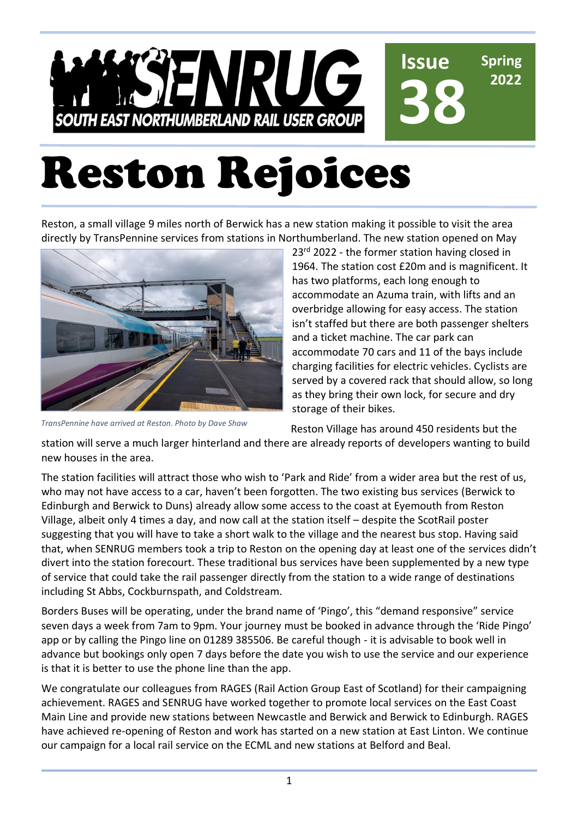#### NRUG **Issue Spring 38 2022 SOUTH EAST NORTHUMBERLAND RAIL USER GROUP**

# Reston Rejoices

Reston, a small village 9 miles north of Berwick has a new station making it possible to visit the area directly by TransPennine services from stations in Northumberland. The new station opened on May



*TransPennine have arrived at Reston. Photo by Dave Shaw*

23<sup>rd</sup> 2022 - the former station having closed in 1964. The station cost £20m and is magnificent. It has two platforms, each long enough to accommodate an Azuma train, with lifts and an overbridge allowing for easy access. The station isn't staffed but there are both passenger shelters and a ticket machine. The car park can accommodate 70 cars and 11 of the bays include charging facilities for electric vehicles. Cyclists are served by a covered rack that should allow, so long as they bring their own lock, for secure and dry storage of their bikes.

Reston Village has around 450 residents but the

station will serve a much larger hinterland and there are already reports of developers wanting to build new houses in the area.

The station facilities will attract those who wish to 'Park and Ride' from a wider area but the rest of us, who may not have access to a car, haven't been forgotten. The two existing bus services (Berwick to Edinburgh and Berwick to Duns) already allow some access to the coast at Eyemouth from Reston Village, albeit only 4 times a day, and now call at the station itself – despite the ScotRail poster suggesting that you will have to take a short walk to the village and the nearest bus stop. Having said that, when SENRUG members took a trip to Reston on the opening day at least one of the services didn't divert into the station forecourt. These traditional bus services have been supplemented by a new type of service that could take the rail passenger directly from the station to a wide range of destinations including St Abbs, Cockburnspath, and Coldstream.

Borders Buses will be operating, under the brand name of 'Pingo', this "demand responsive" service seven days a week from 7am to 9pm. Your journey must be booked in advance through the 'Ride Pingo' app or by calling the Pingo line on 01289 385506. Be careful though - it is advisable to book well in advance but bookings only open 7 days before the date you wish to use the service and our experience is that it is better to use the phone line than the app.

We congratulate our colleagues from RAGES (Rail Action Group East of Scotland) for their campaigning achievement. RAGES and SENRUG have worked together to promote local services on the East Coast Main Line and provide new stations between Newcastle and Berwick and Berwick to Edinburgh. RAGES have achieved re-opening of Reston and work has started on a new station at East Linton. We continue our campaign for a local rail service on the ECML and new stations at Belford and Beal.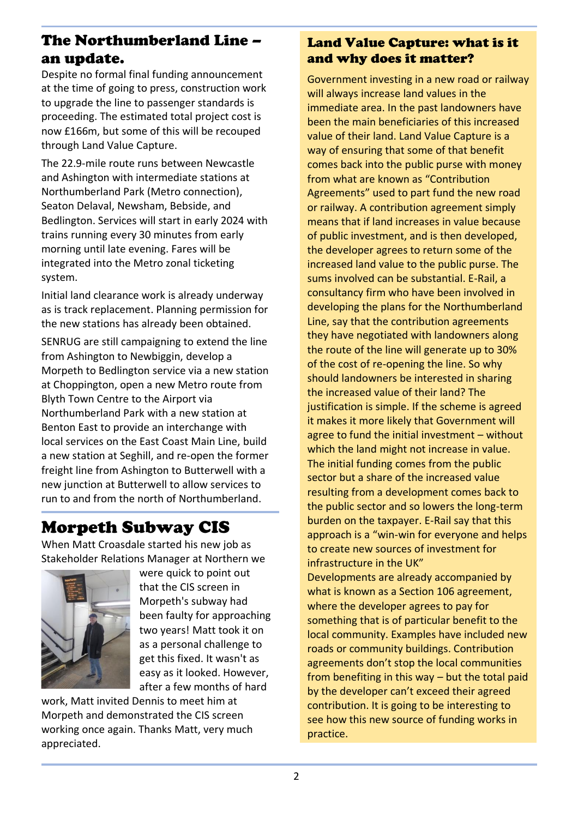### The Northumberland Line – an update.

Despite no formal final funding announcement at the time of going to press, construction work to upgrade the line to passenger standards is proceeding. The estimated total project cost is now £166m, but some of this will be recouped through Land Value Capture.

The 22.9-mile route runs between Newcastle and Ashington with intermediate stations at Northumberland Park (Metro connection), Seaton Delaval, Newsham, Bebside, and Bedlington. Services will start in early 2024 with trains running every 30 minutes from early morning until late evening. Fares will be integrated into the Metro zonal ticketing system.

Initial land clearance work is already underway as is track replacement. Planning permission for the new stations has already been obtained.

SENRUG are still campaigning to extend the line from Ashington to Newbiggin, develop a Morpeth to Bedlington service via a new station at Choppington, open a new Metro route from Blyth Town Centre to the Airport via Northumberland Park with a new station at Benton East to provide an interchange with local services on the East Coast Main Line, build a new station at Seghill, and re-open the former freight line from Ashington to Butterwell with a new junction at Butterwell to allow services to run to and from the north of Northumberland.

### Morpeth Subway CIS

When Matt Croasdale started his new job as Stakeholder Relations Manager at Northern we



were quick to point out that the CIS screen in Morpeth's subway had been faulty for approaching two years! Matt took it on as a personal challenge to get this fixed. It wasn't as easy as it looked. However, after a few months of hard

work, Matt invited Dennis to meet him at Morpeth and demonstrated the CIS screen working once again. Thanks Matt, very much appreciated.

#### Land Value Capture: what is it and why does it matter?

Government investing in a new road or railway will always increase land values in the immediate area. In the past landowners have been the main beneficiaries of this increased value of their land. Land Value Capture is a way of ensuring that some of that benefit comes back into the public purse with money from what are known as "Contribution Agreements" used to part fund the new road or railway. A contribution agreement simply means that if land increases in value because of public investment, and is then developed, the developer agrees to return some of the increased land value to the public purse. The sums involved can be substantial. E-Rail, a consultancy firm who have been involved in developing the plans for the Northumberland Line, say that the contribution agreements they have negotiated with landowners along the route of the line will generate up to 30% of the cost of re-opening the line. So why should landowners be interested in sharing the increased value of their land? The justification is simple. If the scheme is agreed it makes it more likely that Government will agree to fund the initial investment – without which the land might not increase in value. The initial funding comes from the public sector but a share of the increased value resulting from a development comes back to the public sector and so lowers the long-term burden on the taxpayer. E-Rail say that this approach is a "win-win for everyone and helps to create new sources of investment for infrastructure in the UK" Developments are already accompanied by what is known as a Section 106 agreement, where the developer agrees to pay for something that is of particular benefit to the local community. Examples have included new roads or community buildings. Contribution agreements don't stop the local communities

contribution. It is going to be interesting to see how this new source of funding works in practice.

from benefiting in this way – but the total paid by the developer can't exceed their agreed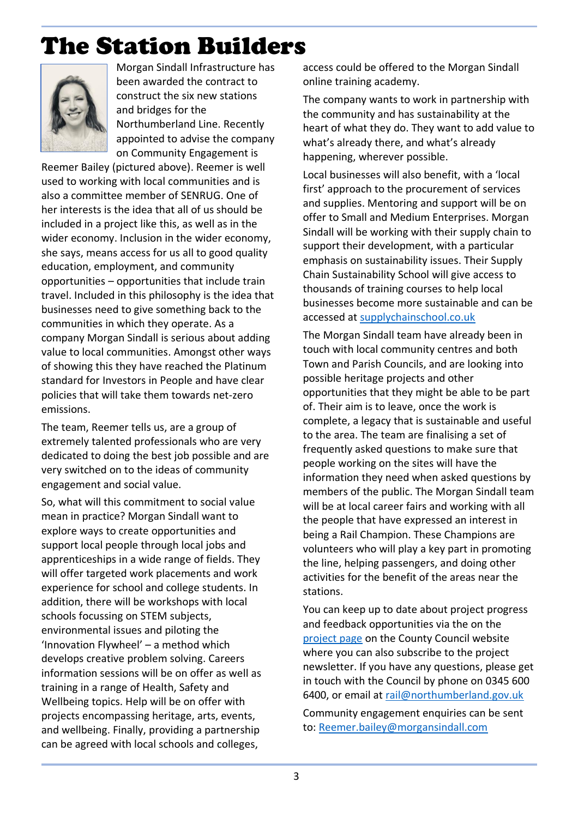# The Station Builders



Morgan Sindall Infrastructure has been awarded the contract to construct the six new stations and bridges for the Northumberland Line. Recently appointed to advise the company on Community Engagement is

Reemer Bailey (pictured above). Reemer is well used to working with local communities and is also a committee member of SENRUG. One of her interests is the idea that all of us should be included in a project like this, as well as in the wider economy. Inclusion in the wider economy, she says, means access for us all to good quality education, employment, and community opportunities – opportunities that include train travel. Included in this philosophy is the idea that businesses need to give something back to the communities in which they operate. As a company Morgan Sindall is serious about adding value to local communities. Amongst other ways of showing this they have reached the Platinum standard for Investors in People and have clear policies that will take them towards net-zero emissions.

The team, Reemer tells us, are a group of extremely talented professionals who are very dedicated to doing the best job possible and are very switched on to the ideas of community engagement and social value.

So, what will this commitment to social value mean in practice? Morgan Sindall want to explore ways to create opportunities and support local people through local jobs and apprenticeships in a wide range of fields. They will offer targeted work placements and work experience for school and college students. In addition, there will be workshops with local schools focussing on STEM subjects, environmental issues and piloting the 'Innovation Flywheel' – a method which develops creative problem solving. Careers information sessions will be on offer as well as training in a range of Health, Safety and Wellbeing topics. Help will be on offer with projects encompassing heritage, arts, events, and wellbeing. Finally, providing a partnership can be agreed with local schools and colleges,

access could be offered to the Morgan Sindall online training academy.

The company wants to work in partnership with the community and has sustainability at the heart of what they do. They want to add value to what's already there, and what's already happening, wherever possible.

Local businesses will also benefit, with a 'local first' approach to the procurement of services and supplies. Mentoring and support will be on offer to Small and Medium Enterprises. Morgan Sindall will be working with their supply chain to support their development, with a particular emphasis on sustainability issues. Their Supply Chain Sustainability School will give access to thousands of training courses to help local businesses become more sustainable and can be accessed at [supplychainschool.co.uk](https://www.supplychainschool.co.uk/log-in/?redirect_url=https%3A%2F%2Flearn.supplychainschool.co.uk%2Flocal%2Ftlactionplans%2Fpriority_suppliers.php%3Fid%3D1287)

The Morgan Sindall team have already been in touch with local community centres and both Town and Parish Councils, and are looking into possible heritage projects and other opportunities that they might be able to be part of. Their aim is to leave, once the work is complete, a legacy that is sustainable and useful to the area. The team are finalising a set of frequently asked questions to make sure that people working on the sites will have the information they need when asked questions by members of the public. The Morgan Sindall team will be at local career fairs and working with all the people that have expressed an interest in being a Rail Champion. These Champions are volunteers who will play a key part in promoting the line, helping passengers, and doing other activities for the benefit of the areas near the stations.

You can keep up to date about project progress and feedback opportunities via the on the [project page](https://www.northumberland.gov.uk/Highways/Transport-policy/northumberland-line.aspx) on the County Council website where you can also subscribe to the project newsletter. If you have any questions, please get in touch with the Council by phone on 0345 600 6400, or email at [rail@northumberland.gov.uk](mailto:rail@northumberland.gov.uk)

Community engagement enquiries can be sent to: [Reemer.bailey@morgansindall.com](mailto:Reemer.bailey@morgansindall.com)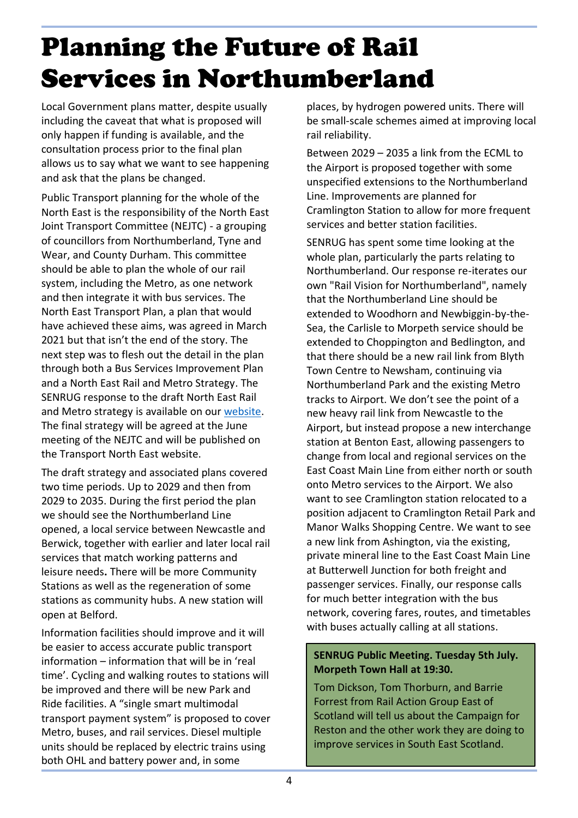# Planning the Future of Rail Services in Northumberland

Local Government plans matter, despite usually including the caveat that what is proposed will only happen if funding is available, and the consultation process prior to the final plan allows us to say what we want to see happening and ask that the plans be changed.

Public Transport planning for the whole of the North East is the responsibility of the North East Joint Transport Committee (NEJTC) - a grouping of councillors from Northumberland, Tyne and Wear, and County Durham. This committee should be able to plan the whole of our rail system, including the Metro, as one network and then integrate it with bus services. The North East Transport Plan, a plan that would have achieved these aims, was agreed in March 2021 but that isn't the end of the story. The next step was to flesh out the detail in the plan through both a Bus Services Improvement Plan and a North East Rail and Metro Strategy. The SENRUG response to the draft North East Rail and Metro strategy is available on our [website.](https://www.senrug.co.uk/blog/wp-content/uploads/2022/04/22-04-10-SENRUG-Response-to-NE-Rail-and-Metro-Strategy-Consultation.pdf) The final strategy will be agreed at the June meeting of the NEJTC and will be published on the Transport North East website.

The draft strategy and associated plans covered two time periods. Up to 2029 and then from 2029 to 2035. During the first period the plan we should see the Northumberland Line opened, a local service between Newcastle and Berwick, together with earlier and later local rail services that match working patterns and leisure needs**.** There will be more Community Stations as well as the regeneration of some stations as community hubs. A new station will open at Belford.

Information facilities should improve and it will be easier to access accurate public transport information – information that will be in 'real time'. Cycling and walking routes to stations will be improved and there will be new Park and Ride facilities. A "single smart multimodal transport payment system" is proposed to cover Metro, buses, and rail services. Diesel multiple units should be replaced by electric trains using both OHL and battery power and, in some

places, by hydrogen powered units. There will be small-scale schemes aimed at improving local rail reliability.

Between 2029 – 2035 a link from the ECML to the Airport is proposed together with some unspecified extensions to the Northumberland Line. Improvements are planned for Cramlington Station to allow for more frequent services and better station facilities.

SENRUG has spent some time looking at the whole plan, particularly the parts relating to Northumberland. Our response re-iterates our own "Rail Vision for Northumberland", namely that the Northumberland Line should be extended to Woodhorn and Newbiggin-by-the-Sea, the Carlisle to Morpeth service should be extended to Choppington and Bedlington, and that there should be a new rail link from Blyth Town Centre to Newsham, continuing via Northumberland Park and the existing Metro tracks to Airport. We don't see the point of a new heavy rail link from Newcastle to the Airport, but instead propose a new interchange station at Benton East, allowing passengers to change from local and regional services on the East Coast Main Line from either north or south onto Metro services to the Airport. We also want to see Cramlington station relocated to a position adjacent to Cramlington Retail Park and Manor Walks Shopping Centre. We want to see a new link from Ashington, via the existing, private mineral line to the East Coast Main Line at Butterwell Junction for both freight and passenger services. Finally, our response calls for much better integration with the bus network, covering fares, routes, and timetables with buses actually calling at all stations.

#### **SENRUG Public Meeting. Tuesday 5th July. Morpeth Town Hall at 19:30.**

Tom Dickson, Tom Thorburn, and Barrie Forrest from Rail Action Group East of Scotland will tell us about the Campaign for Reston and the other work they are doing to improve services in South East Scotland.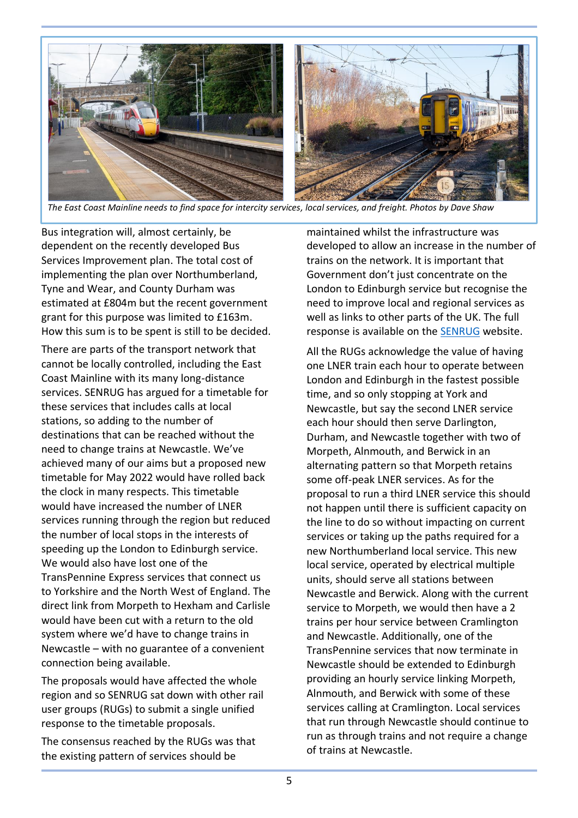

*The East Coast Mainline needs to find space for intercity services, local services, and freight. Photos by Dave Shaw*

Bus integration will, almost certainly, be dependent on the recently developed Bus Services Improvement plan. The total cost of implementing the plan over Northumberland, Tyne and Wear, and County Durham was estimated at £804m but the recent government grant for this purpose was limited to £163m. How this sum is to be spent is still to be decided.

There are parts of the transport network that cannot be locally controlled, including the East Coast Mainline with its many long-distance services. SENRUG has argued for a timetable for these services that includes calls at local stations, so adding to the number of destinations that can be reached without the need to change trains at Newcastle. We've achieved many of our aims but a proposed new timetable for May 2022 would have rolled back the clock in many respects. This timetable would have increased the number of LNER services running through the region but reduced the number of local stops in the interests of speeding up the London to Edinburgh service. We would also have lost one of the TransPennine Express services that connect us to Yorkshire and the North West of England. The direct link from Morpeth to Hexham and Carlisle would have been cut with a return to the old system where we'd have to change trains in Newcastle – with no guarantee of a convenient connection being available.

The proposals would have affected the whole region and so SENRUG sat down with other rail user groups (RUGs) to submit a single unified response to the timetable proposals.

The consensus reached by the RUGs was that the existing pattern of services should be

maintained whilst the infrastructure was developed to allow an increase in the number of trains on the network. It is important that Government don't just concentrate on the London to Edinburgh service but recognise the need to improve local and regional services as well as links to other parts of the UK. The full response is available on the [SENRUG](https://www.senrug.co.uk/blog/wp-content/uploads/2021/07/ECML-Draft-May-2022-Timetable-Final-Response.pdf) website.

All the RUGs acknowledge the value of having one LNER train each hour to operate between London and Edinburgh in the fastest possible time, and so only stopping at York and Newcastle, but say the second LNER service each hour should then serve Darlington, Durham, and Newcastle together with two of Morpeth, Alnmouth, and Berwick in an alternating pattern so that Morpeth retains some off-peak LNER services. As for the proposal to run a third LNER service this should not happen until there is sufficient capacity on the line to do so without impacting on current services or taking up the paths required for a new Northumberland local service. This new local service, operated by electrical multiple units, should serve all stations between Newcastle and Berwick. Along with the current service to Morpeth, we would then have a 2 trains per hour service between Cramlington and Newcastle. Additionally, one of the TransPennine services that now terminate in Newcastle should be extended to Edinburgh providing an hourly service linking Morpeth, Alnmouth, and Berwick with some of these services calling at Cramlington. Local services that run through Newcastle should continue to run as through trains and not require a change of trains at Newcastle.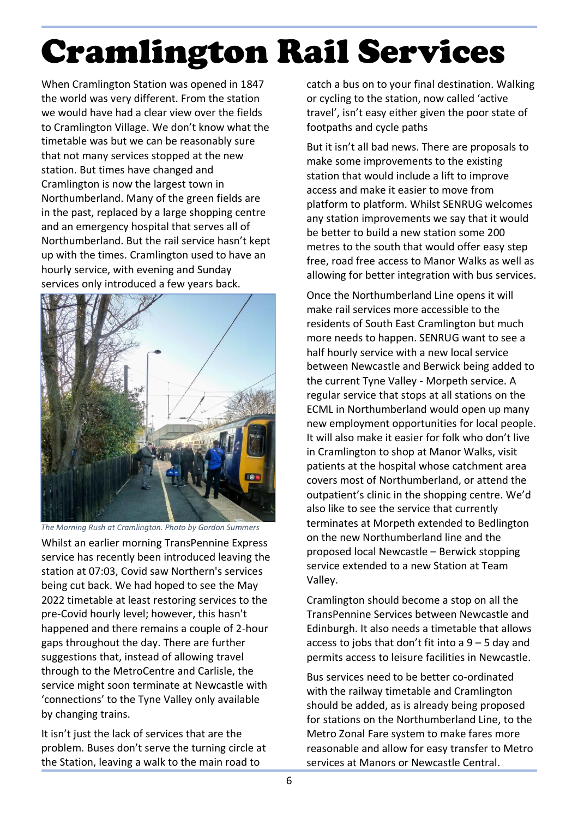# Cramlington Rail Services

When Cramlington Station was opened in 1847 the world was very different. From the station we would have had a clear view over the fields to Cramlington Village. We don't know what the timetable was but we can be reasonably sure that not many services stopped at the new station. But times have changed and Cramlington is now the largest town in Northumberland. Many of the green fields are in the past, replaced by a large shopping centre and an emergency hospital that serves all of Northumberland. But the rail service hasn't kept up with the times. Cramlington used to have an hourly service, with evening and Sunday services only introduced a few years back.



Whilst an earlier morning TransPennine Express service has recently been introduced leaving the station at 07:03, Covid saw Northern's services being cut back. We had hoped to see the May 2022 timetable at least restoring services to the pre-Covid hourly level; however, this hasn't happened and there remains a couple of 2-hour gaps throughout the day. There are further suggestions that, instead of allowing travel through to the MetroCentre and Carlisle, the service might soon terminate at Newcastle with 'connections' to the Tyne Valley only available by changing trains. *The Morning Rush at Cramlington. Photo by Gordon Summers*

It isn't just the lack of services that are the problem. Buses don't serve the turning circle at the Station, leaving a walk to the main road to

catch a bus on to your final destination. Walking or cycling to the station, now called 'active travel', isn't easy either given the poor state of footpaths and cycle paths

But it isn't all bad news. There are proposals to make some improvements to the existing station that would include a lift to improve access and make it easier to move from platform to platform. Whilst SENRUG welcomes any station improvements we say that it would be better to build a new station some 200 metres to the south that would offer easy step free, road free access to Manor Walks as well as allowing for better integration with bus services.

Once the Northumberland Line opens it will make rail services more accessible to the residents of South East Cramlington but much more needs to happen. SENRUG want to see a half hourly service with a new local service between Newcastle and Berwick being added to the current Tyne Valley - Morpeth service. A regular service that stops at all stations on the ECML in Northumberland would open up many new employment opportunities for local people. It will also make it easier for folk who don't live in Cramlington to shop at Manor Walks, visit patients at the hospital whose catchment area covers most of Northumberland, or attend the outpatient's clinic in the shopping centre. We'd also like to see the service that currently terminates at Morpeth extended to Bedlington on the new Northumberland line and the proposed local Newcastle – Berwick stopping service extended to a new Station at Team Valley.

Cramlington should become a stop on all the TransPennine Services between Newcastle and Edinburgh. It also needs a timetable that allows access to jobs that don't fit into a  $9 - 5$  day and permits access to leisure facilities in Newcastle.

Bus services need to be better co-ordinated with the railway timetable and Cramlington should be added, as is already being proposed for stations on the Northumberland Line, to the Metro Zonal Fare system to make fares more reasonable and allow for easy transfer to Metro services at Manors or Newcastle Central.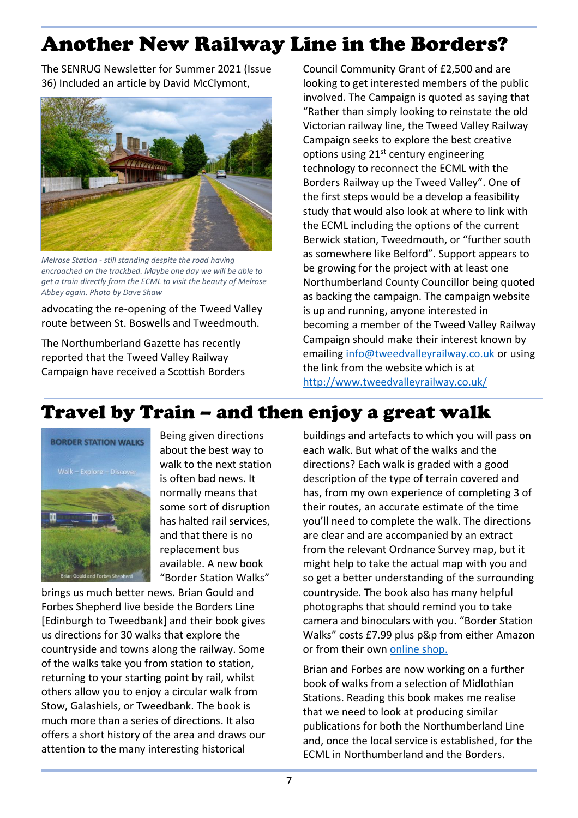## Another New Railway Line in the Borders?

The SENRUG Newsletter for Summer 2021 (Issue 36) Included an article by David McClymont,



*Melrose Station - still standing despite the road having encroached on the trackbed. Maybe one day we will be able to get a train directly from the ECML to visit the beauty of Melrose Abbey again. Photo by Dave Shaw*

advocating the re-opening of the Tweed Valley route between St. Boswells and Tweedmouth.

The Northumberland Gazette has recently reported that the Tweed Valley Railway Campaign have received a Scottish Borders Council Community Grant of £2,500 and are looking to get interested members of the public involved. The Campaign is quoted as saying that "Rather than simply looking to reinstate the old Victorian railway line, the Tweed Valley Railway Campaign seeks to explore the best creative options using  $21<sup>st</sup>$  century engineering technology to reconnect the ECML with the Borders Railway up the Tweed Valley". One of the first steps would be a develop a feasibility study that would also look at where to link with the ECML including the options of the current Berwick station, Tweedmouth, or "further south as somewhere like Belford". Support appears to be growing for the project with at least one Northumberland County Councillor being quoted as backing the campaign. The campaign website is up and running, anyone interested in becoming a member of the Tweed Valley Railway Campaign should make their interest known by emailing [info@tweedvalleyrailway.co.uk](mailto:info@tweedvalleyrailway.co.uk) or using the link from the website which is at <http://www.tweedvalleyrailway.co.uk/>

### Travel by Train – and then enjoy a great walk



Being given directions about the best way to walk to the next station is often bad news. It normally means that some sort of disruption has halted rail services, and that there is no replacement bus available. A new book "Border Station Walks"

brings us much better news. Brian Gould and Forbes Shepherd live beside the Borders Line [Edinburgh to Tweedbank] and their book gives us directions for 30 walks that explore the countryside and towns along the railway. Some of the walks take you from station to station, returning to your starting point by rail, whilst others allow you to enjoy a circular walk from Stow, Galashiels, or Tweedbank. The book is much more than a series of directions. It also offers a short history of the area and draws our attention to the many interesting historical

buildings and artefacts to which you will pass on each walk. But what of the walks and the directions? Each walk is graded with a good description of the type of terrain covered and has, from my own experience of completing 3 of their routes, an accurate estimate of the time you'll need to complete the walk. The directions are clear and are accompanied by an extract from the relevant Ordnance Survey map, but it might help to take the actual map with you and so get a better understanding of the surrounding countryside. The book also has many helpful photographs that should remind you to take camera and binoculars with you. "Border Station Walks" costs £7.99 plus p&p from either Amazon or from their own [online shop.](https://www.etsy.com/uk/listing/903769667/border-station-walks?click_key=17fceebf9971dad93804ca06be52876f7932f7d0%3A903769667&click_sum=8adb5cba&ref=shop_home_active_1)

Brian and Forbes are now working on a further book of walks from a selection of Midlothian Stations. Reading this book makes me realise that we need to look at producing similar publications for both the Northumberland Line and, once the local service is established, for the ECML in Northumberland and the Borders.